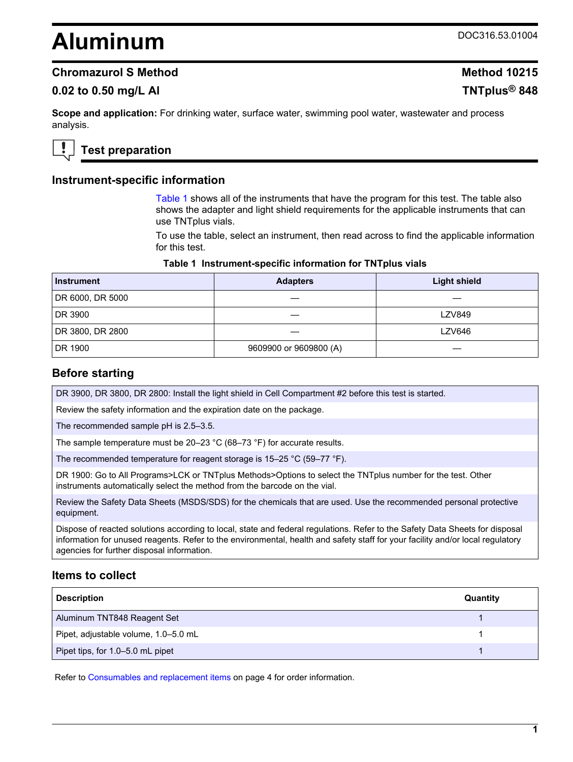# **Aluminum** DOC316.53.01004

## **Chromazurol S Method Method 10215**

## **0.02 to 0.50 mg/L Al TNTplus® 848**

**Scope and application:** For drinking water, surface water, swimming pool water, wastewater and process analysis.

# **Test preparation**

#### **Instrument-specific information**

Table 1 shows all of the instruments that have the program for this test. The table also shows the adapter and light shield requirements for the applicable instruments that can use TNTplus vials.

To use the table, select an instrument, then read across to find the applicable information for this test.

#### **Table 1 Instrument-specific information for TNTplus vials**

| <b>Instrument</b> | <b>Adapters</b>        | <b>Light shield</b> |
|-------------------|------------------------|---------------------|
| DR 6000, DR 5000  |                        |                     |
| DR 3900           |                        | <b>LZV849</b>       |
| DR 3800, DR 2800  |                        | <b>LZV646</b>       |
| DR 1900           | 9609900 or 9609800 (A) |                     |

#### **Before starting**

DR 3900, DR 3800, DR 2800: Install the light shield in Cell Compartment #2 before this test is started.

Review the safety information and the expiration date on the package.

The recommended sample pH is 2.5–3.5.

The sample temperature must be 20–23 °C (68–73 °F) for accurate results.

The recommended temperature for reagent storage is 15–25 °C (59–77 °F).

DR 1900: Go to All Programs>LCK or TNTplus Methods>Options to select the TNTplus number for the test. Other instruments automatically select the method from the barcode on the vial.

Review the Safety Data Sheets (MSDS/SDS) for the chemicals that are used. Use the recommended personal protective equipment.

Dispose of reacted solutions according to local, state and federal regulations. Refer to the Safety Data Sheets for disposal information for unused reagents. Refer to the environmental, health and safety staff for your facility and/or local regulatory agencies for further disposal information.

## **Items to collect**

| <b>Description</b>                   | Quantity |
|--------------------------------------|----------|
| Aluminum TNT848 Reagent Set          |          |
| Pipet, adjustable volume, 1.0-5.0 mL |          |
| Pipet tips, for 1.0-5.0 mL pipet     |          |

Refer to Consumables and replacement items on page 4 for order information.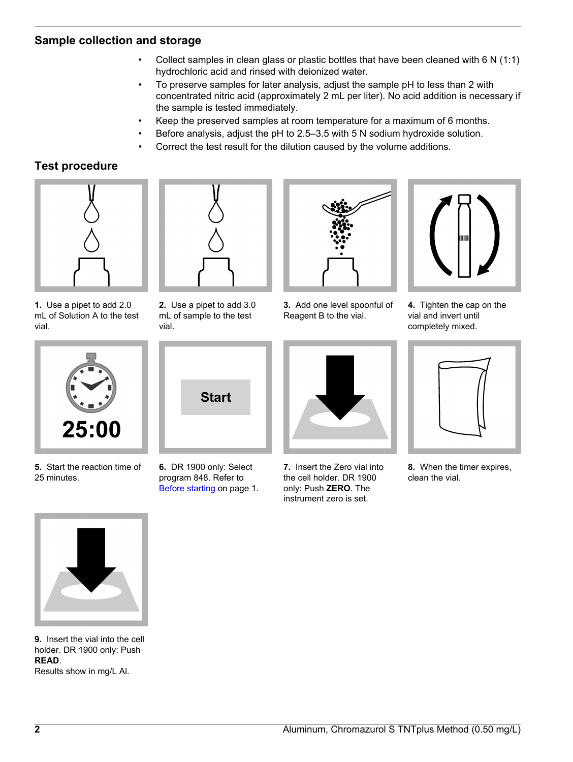## **Sample collection and storage**

- Collect samples in clean glass or plastic bottles that have been cleaned with 6 N (1:1) hydrochloric acid and rinsed with deionized water.
- To preserve samples for later analysis, adjust the sample pH to less than 2 with concentrated nitric acid (approximately 2 mL per liter). No acid addition is necessary if the sample is tested immediately.
- Keep the preserved samples at room temperature for a maximum of 6 months.
- Before analysis, adjust the pH to 2.5–3.5 with 5 N sodium hydroxide solution.
- Correct the test result for the dilution caused by the volume additions.

# **Test procedure**



**1.** Use a pipet to add 2.0 mL of Solution A to the test vial.



**2.** Use a pipet to add 3.0 mL of sample to the test vial.



**3.** Add one level spoonful of Reagent B to the vial.



**4.** Tighten the cap on the vial and invert until completely mixed.



**5.** Start the reaction time of 25 minutes.



**6.** DR 1900 only: Select program 848. Refer to Before starting on page 1.



**7.** Insert the Zero vial into the cell holder. DR 1900 only: Push **ZERO**. The instrument zero is set.



**8.** When the timer expires, clean the vial.



**9.** Insert the vial into the cell holder. DR 1900 only: Push **READ**.

Results show in mg/L Al.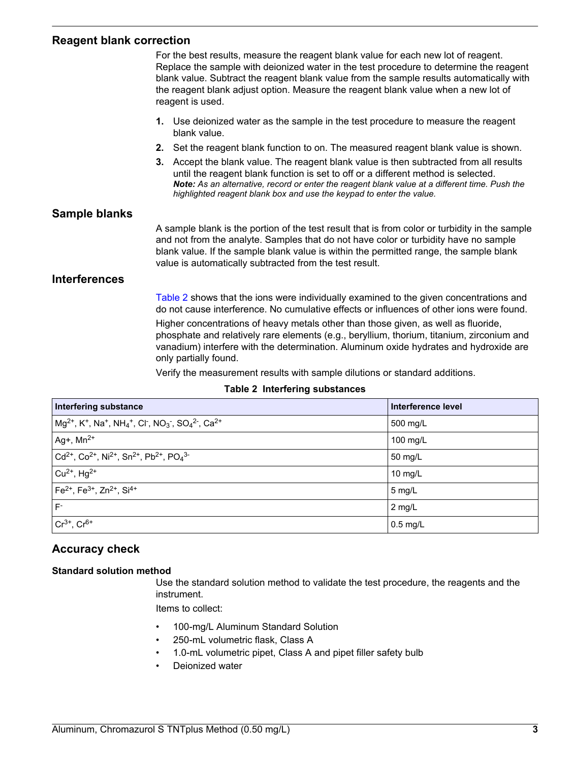## **Reagent blank correction**

|                      | For the best results, measure the reagent blank value for each new lot of reagent.<br>Replace the sample with deionized water in the test procedure to determine the reagent<br>blank value. Subtract the reagent blank value from the sample results automatically with<br>the reagent blank adjust option. Measure the reagent blank value when a new lot of<br>reagent is used. |  |
|----------------------|------------------------------------------------------------------------------------------------------------------------------------------------------------------------------------------------------------------------------------------------------------------------------------------------------------------------------------------------------------------------------------|--|
|                      | 1. Use deionized water as the sample in the test procedure to measure the reagent<br>blank value.                                                                                                                                                                                                                                                                                  |  |
|                      | Set the reagent blank function to on. The measured reagent blank value is shown.<br>2.                                                                                                                                                                                                                                                                                             |  |
|                      | Accept the blank value. The reagent blank value is then subtracted from all results<br>3.<br>until the reagent blank function is set to off or a different method is selected.<br>Note: As an alternative, record or enter the reagent blank value at a different time. Push the<br>highlighted reagent blank box and use the keypad to enter the value.                           |  |
| Sample blanks        |                                                                                                                                                                                                                                                                                                                                                                                    |  |
|                      | A sample blank is the portion of the test result that is from color or turbidity in the sample<br>and not from the analyte. Samples that do not have color or turbidity have no sample<br>blank value. If the sample blank value is within the permitted range, the sample blank<br>value is automatically subtracted from the test result.                                        |  |
| <b>Interferences</b> |                                                                                                                                                                                                                                                                                                                                                                                    |  |
|                      | Table 2 shows that the ions were individually examined to the given concentrations and<br>do not cause interference. No cumulative effects or influences of other ions were found.                                                                                                                                                                                                 |  |
|                      | Higher concentrations of heavy metals other than those given, as well as fluoride,<br>phosphate and relatively rare elements (e.g., beryllium, thorium, titanium, zirconium and<br>vanadium) interfere with the determination. Aluminum oxide hydrates and hydroxide are<br>only partially found.                                                                                  |  |

Verify the measurement results with sample dilutions or standard additions.

#### **Table 2 Interfering substances**

| Interfering substance                                                                                                                                                           | Interference level |
|---------------------------------------------------------------------------------------------------------------------------------------------------------------------------------|--------------------|
| $mg^{2+}$ , K <sup>+</sup> , Na <sup>+</sup> , NH <sub>4</sub> <sup>+</sup> , Cl <sup>-</sup> , NO <sub>3</sub> <sup>-</sup> , SO <sub>4</sub> <sup>2-</sup> , Ca <sup>2+</sup> | 500 mg/L           |
| $ $ Ag+, Mn <sup>2+</sup>                                                                                                                                                       | 100 mg/L           |
| $ Cd^{2+}$ , Co <sup>2+</sup> , Ni <sup>2+</sup> , Sn <sup>2+</sup> , Pb <sup>2+</sup> , PO <sub>4</sub> <sup>3-</sup>                                                          | 50 mg/L            |
| $\vert$ Cu <sup>2+</sup> , Hg <sup>2+</sup>                                                                                                                                     | 10 $mg/L$          |
| $\rm [Fe^{2+}$ , Fe <sup>3+</sup> , Zn <sup>2+</sup> , Si <sup>4+</sup>                                                                                                         | $5$ mg/L           |
| $F^{\circ}$                                                                                                                                                                     | $2$ mg/L           |
| $Cr^{3+}$ , $Cr^{6+}$                                                                                                                                                           | $0.5$ mg/L         |

## **Accuracy check**

#### **Standard solution method**

Use the standard solution method to validate the test procedure, the reagents and the instrument.

Items to collect:

- 100-mg/L Aluminum Standard Solution
- 250-mL volumetric flask, Class A
- 1.0-mL volumetric pipet, Class A and pipet filler safety bulb
- Deionized water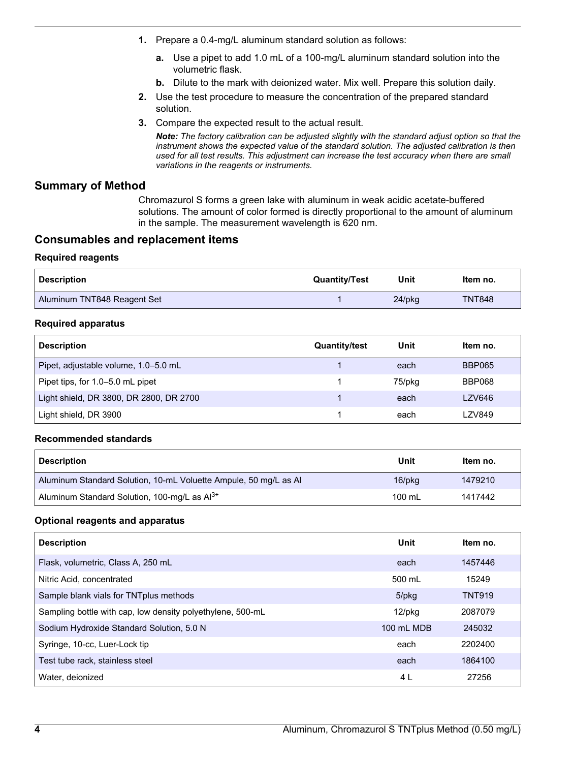- **1.** Prepare a 0.4-mg/L aluminum standard solution as follows:
	- **a.** Use a pipet to add 1.0 mL of a 100-mg/L aluminum standard solution into the volumetric flask.
	- **b.** Dilute to the mark with deionized water. Mix well. Prepare this solution daily.
- **2.** Use the test procedure to measure the concentration of the prepared standard solution.
- **3.** Compare the expected result to the actual result.

*Note: The factory calibration can be adjusted slightly with the standard adjust option so that the instrument shows the expected value of the standard solution. The adjusted calibration is then used for all test results. This adjustment can increase the test accuracy when there are small variations in the reagents or instruments.*

## **Summary of Method**

Chromazurol S forms a green lake with aluminum in weak acidic acetate-buffered solutions. The amount of color formed is directly proportional to the amount of aluminum in the sample. The measurement wavelength is 620 nm.

## **Consumables and replacement items**

#### **Required reagents**

| <b>Description</b>          | <b>Quantity/Test</b> | Unit      | ltem no.      |
|-----------------------------|----------------------|-----------|---------------|
| Aluminum TNT848 Reagent Set |                      | $24$ /pkg | <b>TNT848</b> |

#### **Required apparatus**

| <b>Description</b>                      | <b>Quantity/test</b> | Unit   | Item no.      |
|-----------------------------------------|----------------------|--------|---------------|
| Pipet, adjustable volume, 1.0–5.0 mL    |                      | each   | <b>BBP065</b> |
| Pipet tips, for 1.0–5.0 mL pipet        |                      | 75/pkg | <b>BBP068</b> |
| Light shield, DR 3800, DR 2800, DR 2700 |                      | each   | <b>LZV646</b> |
| Light shield, DR 3900                   |                      | each   | LZV849        |

#### **Recommended standards**

| <b>Description</b>                                               | Unit         | Item no. |
|------------------------------------------------------------------|--------------|----------|
| Aluminum Standard Solution, 10-mL Voluette Ampule, 50 mg/L as Al | $16$ /p $kg$ | 1479210  |
| Aluminum Standard Solution, 100-mg/L as Al <sup>3+</sup>         | 100 mL       | 1417442  |

#### **Optional reagents and apparatus**

| <b>Description</b>                                         | Unit       | Item no.      |
|------------------------------------------------------------|------------|---------------|
| Flask, volumetric, Class A, 250 mL                         | each       | 1457446       |
| Nitric Acid, concentrated                                  | 500 mL     | 15249         |
| Sample blank vials for TNTplus methods                     | 5/pkg      | <b>TNT919</b> |
| Sampling bottle with cap, low density polyethylene, 500-mL | $12$ /pkg  | 2087079       |
| Sodium Hydroxide Standard Solution, 5.0 N                  | 100 mL MDB | 245032        |
| Syringe, 10-cc, Luer-Lock tip                              | each       | 2202400       |
| Test tube rack, stainless steel                            | each       | 1864100       |
| Water, deionized                                           | 4 L        | 27256         |